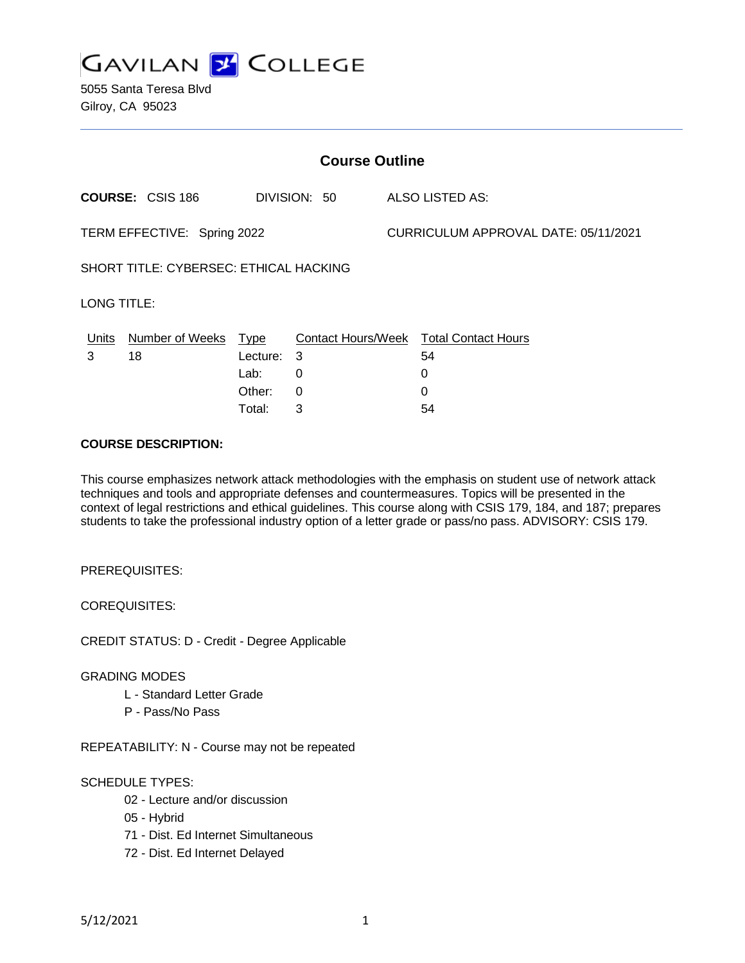

5055 Santa Teresa Blvd Gilroy, CA 95023

| <b>Course Outline</b>                  |                         |          |              |                                      |                                               |  |
|----------------------------------------|-------------------------|----------|--------------|--------------------------------------|-----------------------------------------------|--|
|                                        | <b>COURSE: CSIS 186</b> |          | DIVISION: 50 |                                      | ALSO LISTED AS:                               |  |
| TERM EFFECTIVE: Spring 2022            |                         |          |              | CURRICULUM APPROVAL DATE: 05/11/2021 |                                               |  |
| SHORT TITLE: CYBERSEC: ETHICAL HACKING |                         |          |              |                                      |                                               |  |
| <b>LONG TITLE:</b>                     |                         |          |              |                                      |                                               |  |
| Units                                  | Number of Weeks Type    |          |              |                                      | <b>Contact Hours/Week Total Contact Hours</b> |  |
| 3                                      | 18                      | Lecture: | 3            |                                      | 54                                            |  |
|                                        |                         | Lab:     | 0            |                                      | 0                                             |  |
|                                        |                         | Other:   | 0            |                                      | 0                                             |  |
|                                        |                         | Total:   | 3            |                                      | 54                                            |  |
| . <b>.</b> .                           |                         |          |              |                                      |                                               |  |

#### **COURSE DESCRIPTION:**

This course emphasizes network attack methodologies with the emphasis on student use of network attack techniques and tools and appropriate defenses and countermeasures. Topics will be presented in the context of legal restrictions and ethical guidelines. This course along with CSIS 179, 184, and 187; prepares students to take the professional industry option of a letter grade or pass/no pass. ADVISORY: CSIS 179.

PREREQUISITES:

COREQUISITES:

CREDIT STATUS: D - Credit - Degree Applicable

#### GRADING MODES

- L Standard Letter Grade
- P Pass/No Pass

REPEATABILITY: N - Course may not be repeated

### SCHEDULE TYPES:

- 02 Lecture and/or discussion
- 05 Hybrid
- 71 Dist. Ed Internet Simultaneous
- 72 Dist. Ed Internet Delayed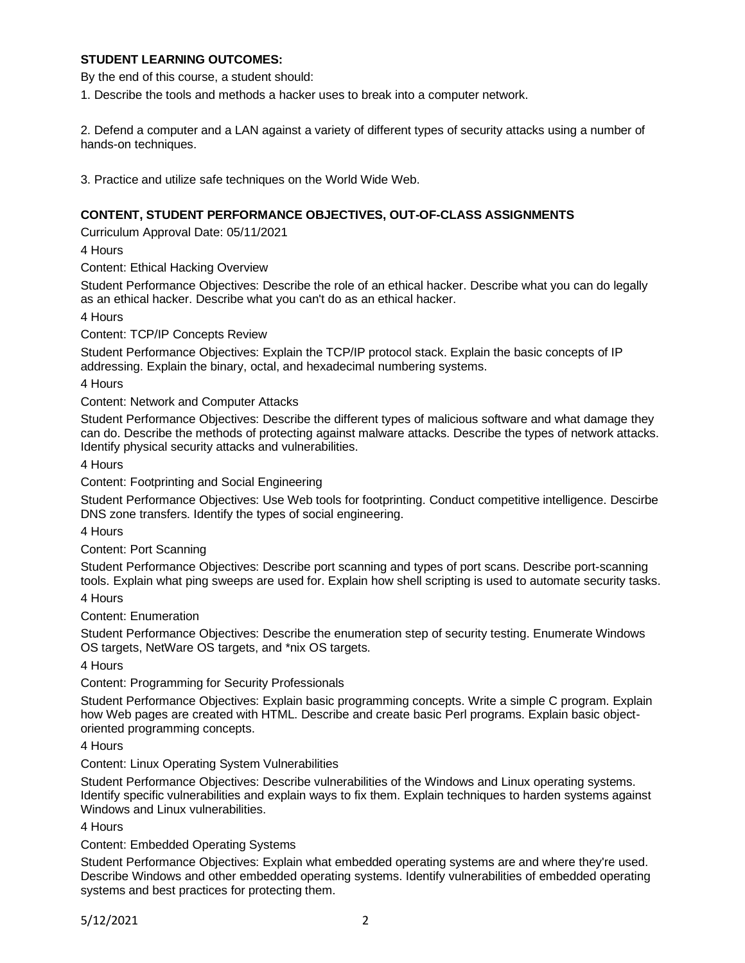### **STUDENT LEARNING OUTCOMES:**

By the end of this course, a student should:

1. Describe the tools and methods a hacker uses to break into a computer network.

2. Defend a computer and a LAN against a variety of different types of security attacks using a number of hands-on techniques.

3. Practice and utilize safe techniques on the World Wide Web.

### **CONTENT, STUDENT PERFORMANCE OBJECTIVES, OUT-OF-CLASS ASSIGNMENTS**

Curriculum Approval Date: 05/11/2021

4 Hours

Content: Ethical Hacking Overview

Student Performance Objectives: Describe the role of an ethical hacker. Describe what you can do legally as an ethical hacker. Describe what you can't do as an ethical hacker.

4 Hours

Content: TCP/IP Concepts Review

Student Performance Objectives: Explain the TCP/IP protocol stack. Explain the basic concepts of IP addressing. Explain the binary, octal, and hexadecimal numbering systems.

4 Hours

Content: Network and Computer Attacks

Student Performance Objectives: Describe the different types of malicious software and what damage they can do. Describe the methods of protecting against malware attacks. Describe the types of network attacks. Identify physical security attacks and vulnerabilities.

4 Hours

Content: Footprinting and Social Engineering

Student Performance Objectives: Use Web tools for footprinting. Conduct competitive intelligence. Descirbe DNS zone transfers. Identify the types of social engineering.

4 Hours

Content: Port Scanning

Student Performance Objectives: Describe port scanning and types of port scans. Describe port-scanning tools. Explain what ping sweeps are used for. Explain how shell scripting is used to automate security tasks.

4 Hours

Content: Enumeration

Student Performance Objectives: Describe the enumeration step of security testing. Enumerate Windows OS targets, NetWare OS targets, and \*nix OS targets.

4 Hours

Content: Programming for Security Professionals

Student Performance Objectives: Explain basic programming concepts. Write a simple C program. Explain how Web pages are created with HTML. Describe and create basic Perl programs. Explain basic objectoriented programming concepts.

4 Hours

Content: Linux Operating System Vulnerabilities

Student Performance Objectives: Describe vulnerabilities of the Windows and Linux operating systems. Identify specific vulnerabilities and explain ways to fix them. Explain techniques to harden systems against Windows and Linux vulnerabilities.

4 Hours

Content: Embedded Operating Systems

Student Performance Objectives: Explain what embedded operating systems are and where they're used. Describe Windows and other embedded operating systems. Identify vulnerabilities of embedded operating systems and best practices for protecting them.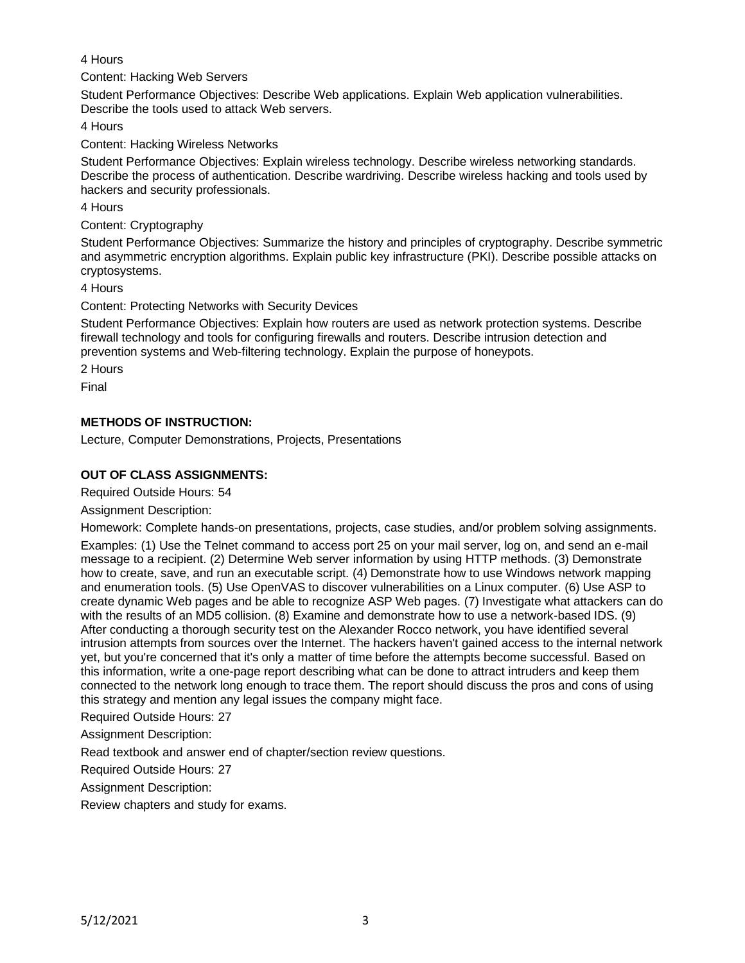## 4 Hours

Content: Hacking Web Servers

Student Performance Objectives: Describe Web applications. Explain Web application vulnerabilities. Describe the tools used to attack Web servers.

4 Hours

Content: Hacking Wireless Networks

Student Performance Objectives: Explain wireless technology. Describe wireless networking standards. Describe the process of authentication. Describe wardriving. Describe wireless hacking and tools used by hackers and security professionals.

4 Hours

Content: Cryptography

Student Performance Objectives: Summarize the history and principles of cryptography. Describe symmetric and asymmetric encryption algorithms. Explain public key infrastructure (PKI). Describe possible attacks on cryptosystems.

4 Hours

Content: Protecting Networks with Security Devices

Student Performance Objectives: Explain how routers are used as network protection systems. Describe firewall technology and tools for configuring firewalls and routers. Describe intrusion detection and prevention systems and Web-filtering technology. Explain the purpose of honeypots.

2 Hours

Final

# **METHODS OF INSTRUCTION:**

Lecture, Computer Demonstrations, Projects, Presentations

# **OUT OF CLASS ASSIGNMENTS:**

Required Outside Hours: 54

Assignment Description:

Homework: Complete hands-on presentations, projects, case studies, and/or problem solving assignments.

Examples: (1) Use the Telnet command to access port 25 on your mail server, log on, and send an e-mail message to a recipient. (2) Determine Web server information by using HTTP methods. (3) Demonstrate how to create, save, and run an executable script. (4) Demonstrate how to use Windows network mapping and enumeration tools. (5) Use OpenVAS to discover vulnerabilities on a Linux computer. (6) Use ASP to create dynamic Web pages and be able to recognize ASP Web pages. (7) Investigate what attackers can do with the results of an MD5 collision. (8) Examine and demonstrate how to use a network-based IDS. (9) After conducting a thorough security test on the Alexander Rocco network, you have identified several intrusion attempts from sources over the Internet. The hackers haven't gained access to the internal network yet, but you're concerned that it's only a matter of time before the attempts become successful. Based on this information, write a one-page report describing what can be done to attract intruders and keep them connected to the network long enough to trace them. The report should discuss the pros and cons of using this strategy and mention any legal issues the company might face.

Required Outside Hours: 27

Assignment Description:

Read textbook and answer end of chapter/section review questions.

Required Outside Hours: 27

Assignment Description:

Review chapters and study for exams.